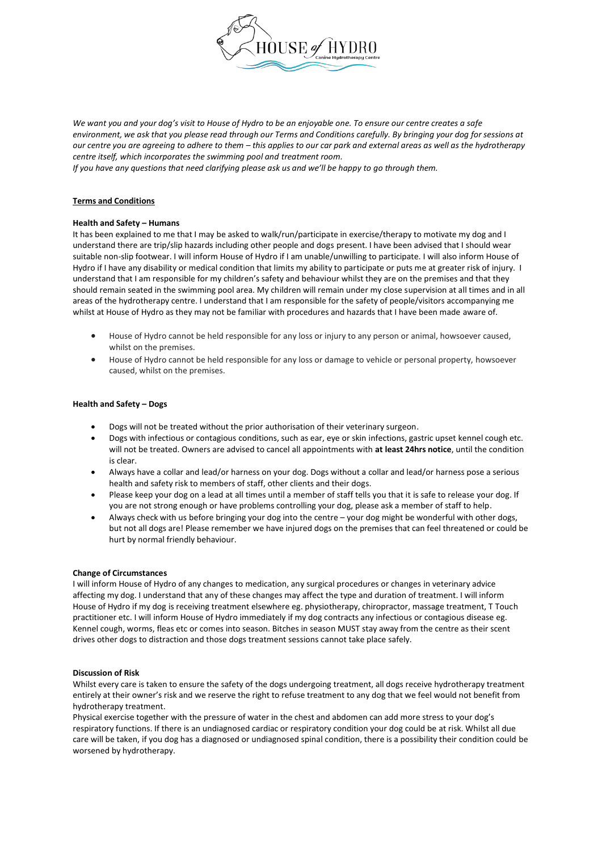

We want you and your dog's visit to House of Hydro to be an enjoyable one. To ensure our centre creates a safe *environment, we ask that you please read through our Terms and Conditions carefully. By bringing your dog for sessions at our centre you are agreeing to adhere to them – this applies to our car park and external areas as well as the hydrotherapy centre itself, which incorporates the swimming pool and treatment room.* 

*If you have any questions that need clarifying please ask us and we'll be happy to go through them.* 

# **Terms and Conditions**

### **Health and Safety – Humans**

It has been explained to me that I may be asked to walk/run/participate in exercise/therapy to motivate my dog and I understand there are trip/slip hazards including other people and dogs present. I have been advised that I should wear suitable non-slip footwear. I will inform House of Hydro if I am unable/unwilling to participate. I will also inform House of Hydro if I have any disability or medical condition that limits my ability to participate or puts me at greater risk of injury. I understand that I am responsible for my children's safety and behaviour whilst they are on the premises and that they should remain seated in the swimming pool area. My children will remain under my close supervision at all times and in all areas of the hydrotherapy centre. I understand that I am responsible for the safety of people/visitors accompanying me whilst at House of Hydro as they may not be familiar with procedures and hazards that I have been made aware of.

- House of Hydro cannot be held responsible for any loss or injury to any person or animal, howsoever caused, whilst on the premises.
- House of Hydro cannot be held responsible for any loss or damage to vehicle or personal property, howsoever caused, whilst on the premises.

# **Health and Safety - Dogs**

- Dogs will not be treated without the prior authorisation of their veterinary surgeon.
- Dogs with infectious or contagious conditions, such as ear, eye or skin infections, gastric upset kennel cough etc. will not be treated. Owners are advised to cancel all appointments with **at least 24hrs notice**, until the condition is clear.
- x Always have a collar and lead/or harness on your dog. Dogs without a collar and lead/or harness pose a serious health and safety risk to members of staff, other clients and their dogs.
- Please keep your dog on a lead at all times until a member of staff tells you that it is safe to release your dog. If you are not strong enough or have problems controlling your dog, please ask a member of staff to help.
- Always check with us before bringing your dog into the centre your dog might be wonderful with other dogs, but not all dogs are! Please remember we have injured dogs on the premises that can feel threatened or could be hurt by normal friendly behaviour.

### **Change of Circumstances**

I will inform House of Hydro of any changes to medication, any surgical procedures or changes in veterinary advice affecting my dog. I understand that any of these changes may affect the type and duration of treatment. I will inform House of Hydro if my dog is receiving treatment elsewhere eg. physiotherapy, chiropractor, massage treatment, T Touch practitioner etc. I will inform House of Hydro immediately if my dog contracts any infectious or contagious disease eg. Kennel cough, worms, fleas etc or comes into season. Bitches in season MUST stay away from the centre as their scent drives other dogs to distraction and those dogs treatment sessions cannot take place safely.

## **Discussion of Risk**

Whilst every care is taken to ensure the safety of the dogs undergoing treatment, all dogs receive hydrotherapy treatment entirely at their owner's risk and we reserve the right to refuse treatment to any dog that we feel would not benefit from hydrotherapy treatment.

Physical exercise together with the pressure of water in the chest and abdomen can add more stress to your dog's respiratory functions. If there is an undiagnosed cardiac or respiratory condition your dog could be at risk. Whilst all due care will be taken, if you dog has a diagnosed or undiagnosed spinal condition, there is a possibility their condition could be worsened by hydrotherapy.